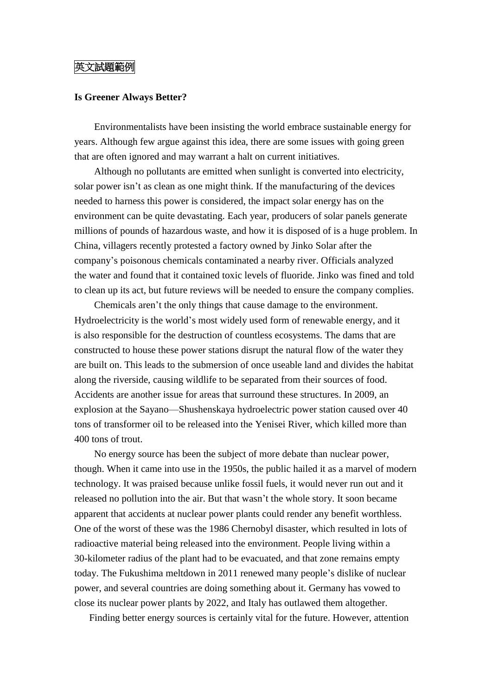## 英文試題範例

## **Is Greener Always Better?**

Environmentalists have been insisting the world embrace sustainable energy for years. Although few argue against this idea, there are some issues with going green that are often ignored and may warrant a halt on current initiatives.

Although no pollutants are emitted when sunlight is converted into electricity, solar power isn't as clean as one might think. If the manufacturing of the devices needed to harness this power is considered, the impact solar energy has on the environment can be quite devastating. Each year, producers of solar panels generate millions of pounds of hazardous waste, and how it is disposed of is a huge problem. In China, villagers recently protested a factory owned by Jinko Solar after the company's poisonous chemicals contaminated a nearby river. Officials analyzed the water and found that it contained toxic levels of fluoride. Jinko was fined and told to clean up its act, but future reviews will be needed to ensure the company complies.

Chemicals aren't the only things that cause damage to the environment. Hydroelectricity is the world's most widely used form of renewable energy, and it is also responsible for the destruction of countless ecosystems. The dams that are constructed to house these power stations disrupt the natural flow of the water they are built on. This leads to the submersion of once useable land and divides the habitat along the riverside, causing wildlife to be separated from their sources of food. Accidents are another issue for areas that surround these structures. In 2009, an explosion at the Sayano—Shushenskaya hydroelectric power station caused over 40 tons of transformer oil to be released into the Yenisei River, which killed more than 400 tons of trout.

No energy source has been the subject of more debate than nuclear power, though. When it came into use in the 1950s, the public hailed it as a marvel of modern technology. It was praised because unlike fossil fuels, it would never run out and it released no pollution into the air. But that wasn't the whole story. It soon became apparent that accidents at nuclear power plants could render any benefit worthless. One of the worst of these was the 1986 Chernobyl disaster, which resulted in lots of radioactive material being released into the environment. People living within a 30-kilometer radius of the plant had to be evacuated, and that zone remains empty today. The Fukushima meltdown in 2011 renewed many people's dislike of nuclear power, and several countries are doing something about it. Germany has vowed to close its nuclear power plants by 2022, and Italy has outlawed them altogether.

Finding better energy sources is certainly vital for the future. However, attention